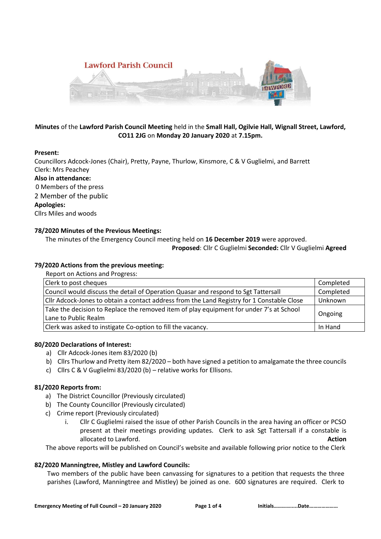

# **Minutes** of the **Lawford Parish Council Meeting** held in the **Small Hall, Ogilvie Hall, Wignall Street, Lawford, CO11 2JG** on **Monday 20 January 2020** at **7.15pm.**

## **Present:**

Councillors Adcock-Jones (Chair), Pretty, Payne, Thurlow, Kinsmore, C & V Guglielmi, and Barrett Clerk: Mrs Peachey **Also in attendance:**  0 Members of the press 2 Member of the public **Apologies:**

Cllrs Miles and woods

## **78/2020 Minutes of the Previous Meetings:**

The minutes of the Emergency Council meeting held on **16 December 2019** were approved.

**Proposed**: Cllr C Guglielmi **Seconded:** Cllr V Guglielmi **Agreed**

## **79/2020 Actions from the previous meeting:**

Report on Actions and Progress:

| Clerk to post cheques                                                                      | Completed |  |  |  |
|--------------------------------------------------------------------------------------------|-----------|--|--|--|
| Council would discuss the detail of Operation Quasar and respond to Sgt Tattersall         | Completed |  |  |  |
| CIIr Adcock-Jones to obtain a contact address from the Land Registry for 1 Constable Close | Unknown   |  |  |  |
| Take the decision to Replace the removed item of play equipment for under 7's at School    |           |  |  |  |
| Ongoing<br>Lane to Public Realm                                                            |           |  |  |  |
| Clerk was asked to instigate Co-option to fill the vacancy.                                | In Hand   |  |  |  |

## **80/2020 Declarations of Interest:**

- a) Cllr Adcock-Jones item 83/2020 (b)
- b) Cllrs Thurlow and Pretty item 82/2020 both have signed a petition to amalgamate the three councils
- c) Cllrs C & V Guglielmi 83/2020 (b) relative works for Ellisons.

## **81/2020 Reports from:**

- a) The District Councillor (Previously circulated)
- b) The County Councillor (Previously circulated)
- c) Crime report (Previously circulated)
	- i. Cllr C Guglielmi raised the issue of other Parish Councils in the area having an officer or PCSO present at their meetings providing updates. Clerk to ask Sgt Tattersall if a constable is allocated to Lawford. **Action**

The above reports will be published on Council's website and available following prior notice to the Clerk

## **82/2020 Manningtree, Mistley and Lawford Councils:**

Two members of the public have been canvassing for signatures to a petition that requests the three parishes (Lawford, Manningtree and Mistley) be joined as one. 600 signatures are required. Clerk to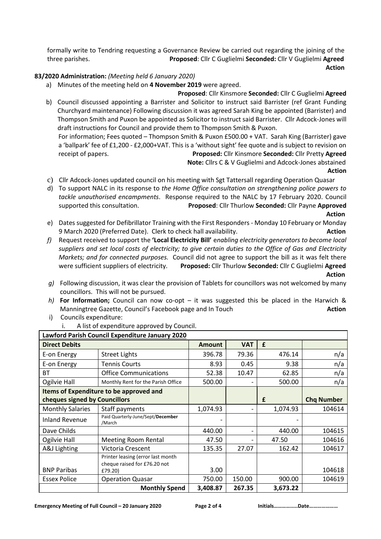formally write to Tendring requesting a Governance Review be carried out regarding the joining of the three parishes. **Proposed**: Cllr C Guglielmi **Seconded:** Cllr V Guglielmi **Agreed**

المستخدم المستخدم المستخدم المستخدم المستخدم المستخدم المستخدم المستخدم المستخدم المستخدم المستخدم المستخدم ال

# **83/2020 Administration:** *(Meeting held 6 January 2020)*

- a) Minutes of the meeting held on **4 November 2019** were agreed.
- **Proposed**: Cllr Kinsmore **Seconded:** Cllr C Guglielmi **Agreed** b) Council discussed appointing a Barrister and Solicitor to instruct said Barrister (ref Grant Funding Churchyard maintenance) Following discussion it was agreed Sarah King be appointed (Barrister) and Thompson Smith and Puxon be appointed as Solicitor to instruct said Barrister. Cllr Adcock-Jones will draft instructions for Council and provide them to Thompson Smith & Puxon. For information; Fees quoted – Thompson Smith & Puxon £500.00 + VAT. Sarah King (Barrister) gave a 'ballpark' fee of £1,200 - £2,000+VAT. This is a 'without sight' fee quote and is subject to revision on

receipt of papers. **Proposed:** Cllr Kinsmore **Seconded:** Cllr Pretty **Agreed**

 **Note:** Cllrs C & V Guglielmi and Adcock-Jones abstained *Action* 

- c) Cllr Adcock-Jones updated council on his meeting with Sgt Tattersall regarding Operation Quasar
- d) To support NALC in its response to *the Home Office consultation on strengthening police powers to tackle unauthorised encampments*. Response required to the NALC by 17 February 2020. Council supported this consultation. **Proposed**: Cllr Thurlow **Seconded:** Cllr Payne **Approved**

*Action* 

- e) Dates suggested for Defibrillator Training with the First Responders Monday 10 February or Monday 9 March 2020 (Preferred Date). Clerk to check hall availability. **Action Action**
- *f)* Request received to support the **'Local Electricity Bill'** e*nabling electricity generators to become local suppliers and set local costs of electricity; to give certain duties to the Office of Gas and Electricity Markets; and for connected purposes.* Council did not agree to support the bill as it was felt there were sufficient suppliers of electricity. **Proposed:** Cllr Thurlow **Seconded:** Cllr C Guglielmi **Agreed** *Action*
- *g)* Following discussion, it was clear the provision of Tablets for councillors was not welcomed by many councillors. This will not be pursued.
- *h)* **For Information;** Council can now co-opt it was suggested this be placed in the Harwich & Manningtree Gazette, Council's Facebook page and In Touch **Action**
- i) Councils expenditure:
	- i. A list of expenditure approved by Council.

| Lawford Parish Council Expenditure January 2020 |                                             |               |            |          |                   |  |  |
|-------------------------------------------------|---------------------------------------------|---------------|------------|----------|-------------------|--|--|
| <b>Direct Debits</b>                            |                                             | <b>Amount</b> | <b>VAT</b> | £        |                   |  |  |
| E-on Energy                                     | <b>Street Lights</b>                        | 396.78        | 79.36      | 476.14   | n/a               |  |  |
| E-on Energy                                     | <b>Tennis Courts</b>                        | 8.93          | 0.45       | 9.38     | n/a               |  |  |
| <b>BT</b>                                       | <b>Office Communications</b>                | 52.38         | 10.47      | 62.85    | n/a               |  |  |
| Ogilvie Hall                                    | Monthly Rent for the Parish Office          | 500.00        |            | 500.00   | n/a               |  |  |
| Items of Expenditure to be approved and         |                                             |               |            |          |                   |  |  |
| cheques signed by Councillors                   |                                             |               |            | £        | <b>Chq Number</b> |  |  |
| <b>Monthly Salaries</b>                         | Staff payments                              | 1,074.93      |            | 1,074.93 | 104614            |  |  |
| <b>Inland Revenue</b>                           | Paid Quarterly-June/Sept/December<br>/March |               |            |          |                   |  |  |
| Dave Childs                                     |                                             | 440.00        |            | 440.00   | 104615            |  |  |
| Ogilvie Hall                                    | <b>Meeting Room Rental</b>                  | 47.50         |            | 47.50    | 104616            |  |  |
| A&J Lighting                                    | Victoria Crescent                           | 135.35        | 27.07      | 162.42   | 104617            |  |  |
|                                                 | Printer leasing (error last month           |               |            |          |                   |  |  |
| <b>BNP Paribas</b>                              | cheque raised for £76.20 not<br>£79.20)     | 3.00          |            |          | 104618            |  |  |
| <b>Essex Police</b>                             | <b>Operation Quasar</b>                     | 750.00        | 150.00     | 900.00   | 104619            |  |  |
|                                                 | <b>Monthly Spend</b>                        | 3,408.87      | 267.35     | 3,673.22 |                   |  |  |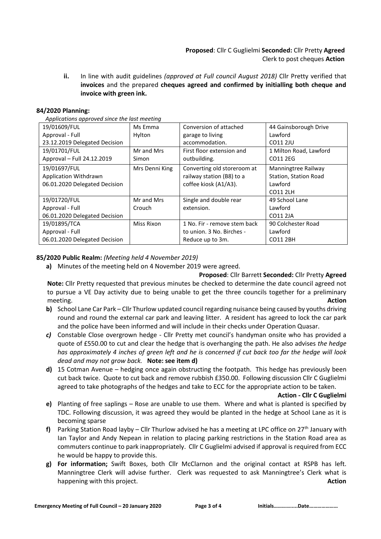# **Proposed**: Cllr C Guglielmi **Seconded:** Cllr Pretty **Agreed** Clerk to post cheques **Action**

**ii.** In line with audit guidelines *(approved at Full council August 2018)* Cllr Pretty verified that **invoices** and the prepared **cheques agreed and confirmed by initialling both cheque and invoice with green ink.**

## **84/2020 Planning:**

*Applications approved since the last meeting*

| 19/01609/FUL                  | Ms Emma        | Conversion of attached       | 44 Gainsborough Drive  |
|-------------------------------|----------------|------------------------------|------------------------|
| Approval - Full               | Hylton         | garage to living             | Lawford                |
| 23.12.2019 Delegated Decision |                | accommodation.               | CO11 2JU               |
| 19/01701/FUL                  | Mr and Mrs     | First floor extension and    | 1 Milton Road, Lawford |
| Approval - Full 24.12.2019    | Simon          | outbuilding.                 | CO11 2EG               |
| 19/01697/FUL                  | Mrs Denni King | Converting old storeroom at  | Manningtree Railway    |
| Application Withdrawn         |                | railway station (B8) to a    | Station, Station Road  |
| 06.01.2020 Delegated Decision |                | coffee kiosk (A1/A3).        | Lawford                |
|                               |                |                              | CO11 2LH               |
| 19/01720/FUL                  | Mr and Mrs     | Single and double rear       | 49 School Lane         |
| Approval - Full               | Crouch         | extension.                   | Lawford                |
| 06.01.2020 Delegated Decision |                |                              | CO11 2JA               |
| 19/01895/TCA                  | Miss Rixon     | 1 No. Fir - remove stem back | 90 Colchester Road     |
| Approval - Full               |                | to union. 3 No. Birches -    | Lawford                |
| 06.01.2020 Delegated Decision |                | Reduce up to 3m.             | <b>CO11 2BH</b>        |

#### **85/2020 Public Realm:** *(Meeting held 4 November 2019)*

**a)** Minutes of the meeting held on 4 November 2019 were agreed.

**Proposed**: Cllr Barrett **Seconded:** Cllr Pretty **Agreed Note:** Cllr Pretty requested that previous minutes be checked to determine the date council agreed not to pursue a VE Day activity due to being unable to get the three councils together for a preliminary meeting. **Action** 

- **b)** School Lane Car Park Cllr Thurlow updated council regarding nuisance being caused by youths driving round and round the external car park and leaving litter. A resident has agreed to lock the car park and the police have been informed and will include in their checks under Operation Quasar.
- *c)* Constable Close overgrown hedge Cllr Pretty met council's handyman onsite who has provided a quote of £550.00 to cut and clear the hedge that is overhanging the path. He also advises *the hedge has approximately 4 inches of green left and he is concerned if cut back too far the hedge will look dead and may not grow back.* **Note: see item d)**
- **d)** 15 Cotman Avenue hedging once again obstructing the footpath. This hedge has previously been cut back twice. Quote to cut back and remove rubbish £350.00. Following discussion Cllr C Guglielmi agreed to take photographs of the hedges and take to ECC for the appropriate action to be taken.

#### **Action - Cllr C Guglielmi**

- **e)** Planting of free saplings Rose are unable to use them. Where and what is planted is specified by TDC. Following discussion, it was agreed they would be planted in the hedge at School Lane as it is becoming sparse
- f) Parking Station Road layby Cllr Thurlow advised he has a meeting at LPC office on 27<sup>th</sup> January with Ian Taylor and Andy Nepean in relation to placing parking restrictions in the Station Road area as commuters continue to park inappropriately. Cllr C Guglielmi advised if approval is required from ECC he would be happy to provide this.
- **g) For information;** Swift Boxes, both Cllr McClarnon and the original contact at RSPB has left. Manningtree Clerk will advise further. Clerk was requested to ask Manningtree's Clerk what is happening with this project. **Action**